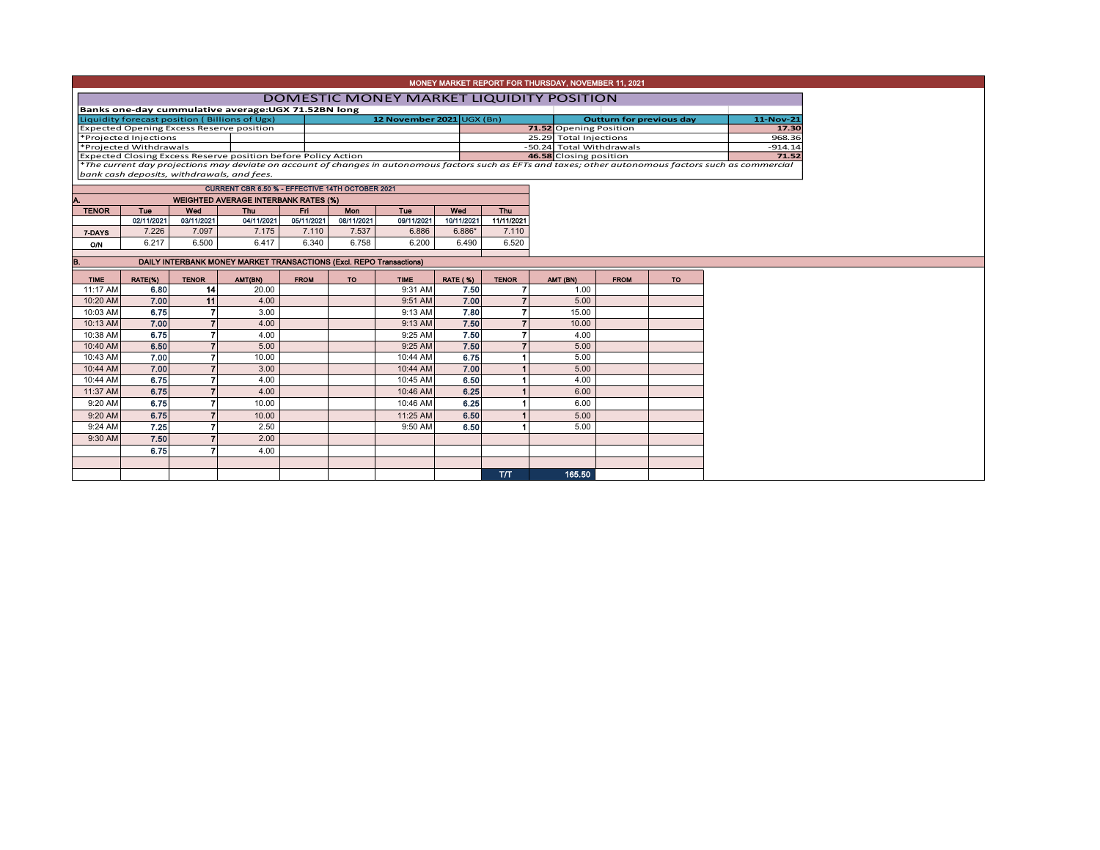| MONEY MARKET REPORT FOR THURSDAY, NOVEMBER 11, 2021                                                                                                                                |                                                 |                |                                                     |             |            |             |                 |                |                  |                                 |           |                    |  |  |
|------------------------------------------------------------------------------------------------------------------------------------------------------------------------------------|-------------------------------------------------|----------------|-----------------------------------------------------|-------------|------------|-------------|-----------------|----------------|------------------|---------------------------------|-----------|--------------------|--|--|
|                                                                                                                                                                                    | <b>DOMESTIC MONEY MARKET LIQUIDITY POSITION</b> |                |                                                     |             |            |             |                 |                |                  |                                 |           |                    |  |  |
|                                                                                                                                                                                    |                                                 |                | Banks one-day cummulative average: UGX 71.52BN long |             |            |             |                 |                |                  |                                 |           |                    |  |  |
| 12 November 2021 UGX (Bn)<br>Liquidity forecast position (Billions of Ugx)                                                                                                         |                                                 |                |                                                     |             |            |             |                 |                |                  | <b>Outturn for previous day</b> | 11-Nov-21 |                    |  |  |
| <b>Expected Opening Excess Reserve position</b>                                                                                                                                    |                                                 |                |                                                     |             |            |             |                 |                |                  | 71.52 Opening Position          |           | 17.30              |  |  |
| *Projected Injections                                                                                                                                                              |                                                 |                |                                                     |             |            |             |                 |                |                  | 25.29 Total Injections          | 968.36    |                    |  |  |
| *Projected Withdrawals<br>Expected Closing Excess Reserve position before Policy Action                                                                                            |                                                 |                |                                                     |             |            |             |                 |                |                  | -50.24 Total Withdrawals        |           | $-914.14$<br>71.52 |  |  |
| 46.58 Closing position<br>*The current day projections may deviate on account of changes in autonomous factors such as EFTs and taxes; other autonomous factors such as commercial |                                                 |                |                                                     |             |            |             |                 |                |                  |                                 |           |                    |  |  |
| bank cash deposits, withdrawals, and fees.                                                                                                                                         |                                                 |                |                                                     |             |            |             |                 |                |                  |                                 |           |                    |  |  |
|                                                                                                                                                                                    |                                                 |                | CURRENT CBR 6.50 % - EFFECTIVE 14TH OCTOBER 2021    |             |            |             |                 |                |                  |                                 |           |                    |  |  |
|                                                                                                                                                                                    |                                                 |                | <b>WEIGHTED AVERAGE INTERBANK RATES (%)</b>         |             |            |             |                 |                |                  |                                 |           |                    |  |  |
| <b>TENOR</b>                                                                                                                                                                       | Tue                                             | Wed            | <b>Thu</b>                                          | Fri.        | Mon        | Tue         | Wed             | <b>Thu</b>     |                  |                                 |           |                    |  |  |
|                                                                                                                                                                                    | 02/11/2021                                      | 03/11/2021     | 04/11/2021                                          | 05/11/2021  | 08/11/2021 | 09/11/2021  | 10/11/2021      | 11/11/2021     |                  |                                 |           |                    |  |  |
| 7-DAYS                                                                                                                                                                             | 7.226                                           | 7.097          | 7.175                                               | 7.110       | 7.537      | 6.886       | 6.886*          | 7.110          |                  |                                 |           |                    |  |  |
| O/N                                                                                                                                                                                | 6.217                                           | 6.500          | 6.417                                               | 6.340       | 6.758      | 6.200       | 6.490           | 6.520          |                  |                                 |           |                    |  |  |
| DAILY INTERBANK MONEY MARKET TRANSACTIONS (Excl. REPO Transactions)<br>B.                                                                                                          |                                                 |                |                                                     |             |            |             |                 |                |                  |                                 |           |                    |  |  |
| <b>TIME</b>                                                                                                                                                                        | RATE(%)                                         | <b>TENOR</b>   | AMT(BN)                                             | <b>FROM</b> | <b>TO</b>  | <b>TIME</b> | <b>RATE (%)</b> | <b>TENOR</b>   |                  | <b>FROM</b>                     | <b>TO</b> |                    |  |  |
| 11:17 AM                                                                                                                                                                           | 6.80                                            | 14             | 20.00                                               |             |            | 9:31 AM     | 7.50            | $\overline{7}$ | AMT (BN)<br>1.00 |                                 |           |                    |  |  |
| 10:20 AM                                                                                                                                                                           | 7.00                                            | 11             | 4.00                                                |             |            | 9:51 AM     | 7.00            |                | 5.00             |                                 |           |                    |  |  |
| 10:03 AM                                                                                                                                                                           | 6.75                                            | 7              | 3.00                                                |             |            | 9:13 AM     | 7.80            | 7              | 15.00            |                                 |           |                    |  |  |
| 10:13 AM                                                                                                                                                                           | 7.00                                            | $\overline{ }$ | 4.00                                                |             |            | 9:13 AM     | 7.50            |                | 10.00            |                                 |           |                    |  |  |
| 10:38 AM                                                                                                                                                                           | 6.75                                            |                | 4.00                                                |             |            | 9:25 AM     | 7.50            | 7              | 4.00             |                                 |           |                    |  |  |
| 10:40 AM                                                                                                                                                                           | 6.50                                            |                | 5.00                                                |             |            | 9:25 AM     | 7.50            | 7              | 5.00             |                                 |           |                    |  |  |
| 10:43 AM                                                                                                                                                                           | 7.00                                            |                | 10.00                                               |             |            | 10:44 AM    | 6.75            |                | 5.00             |                                 |           |                    |  |  |
| 10:44 AM                                                                                                                                                                           | 7.00                                            |                | 3.00                                                |             |            | 10:44 AM    | 7.00            |                | 5.00             |                                 |           |                    |  |  |
| 10:44 AM                                                                                                                                                                           | 6.75                                            |                | 4.00                                                |             |            | 10:45 AM    | 6.50            |                | 4.00             |                                 |           |                    |  |  |
| 11:37 AM                                                                                                                                                                           | 6.75                                            |                | 4.00                                                |             |            | 10:46 AM    | 6.25            |                | 6.00             |                                 |           |                    |  |  |
| 9:20 AM                                                                                                                                                                            | 6.75                                            |                | 10.00                                               |             |            | 10:46 AM    | 6.25            |                | 6.00             |                                 |           |                    |  |  |
| 9:20 AM                                                                                                                                                                            | 6.75                                            |                | 10.00                                               |             |            | 11:25 AM    | 6.50            |                | 5.00             |                                 |           |                    |  |  |
| 9:24 AM                                                                                                                                                                            | 7.25                                            | 7              | 2.50                                                |             |            | 9:50 AM     | 6.50            |                | 5.00             |                                 |           |                    |  |  |
| 9:30 AM                                                                                                                                                                            | 7.50                                            |                | 2.00                                                |             |            |             |                 |                |                  |                                 |           |                    |  |  |
|                                                                                                                                                                                    | 6.75                                            |                | 4.00                                                |             |            |             |                 |                |                  |                                 |           |                    |  |  |
|                                                                                                                                                                                    |                                                 |                |                                                     |             |            |             |                 |                |                  |                                 |           |                    |  |  |
|                                                                                                                                                                                    |                                                 |                |                                                     |             |            |             |                 | <b>T/T</b>     | 165.50           |                                 |           |                    |  |  |
|                                                                                                                                                                                    |                                                 |                |                                                     |             |            |             |                 |                |                  |                                 |           |                    |  |  |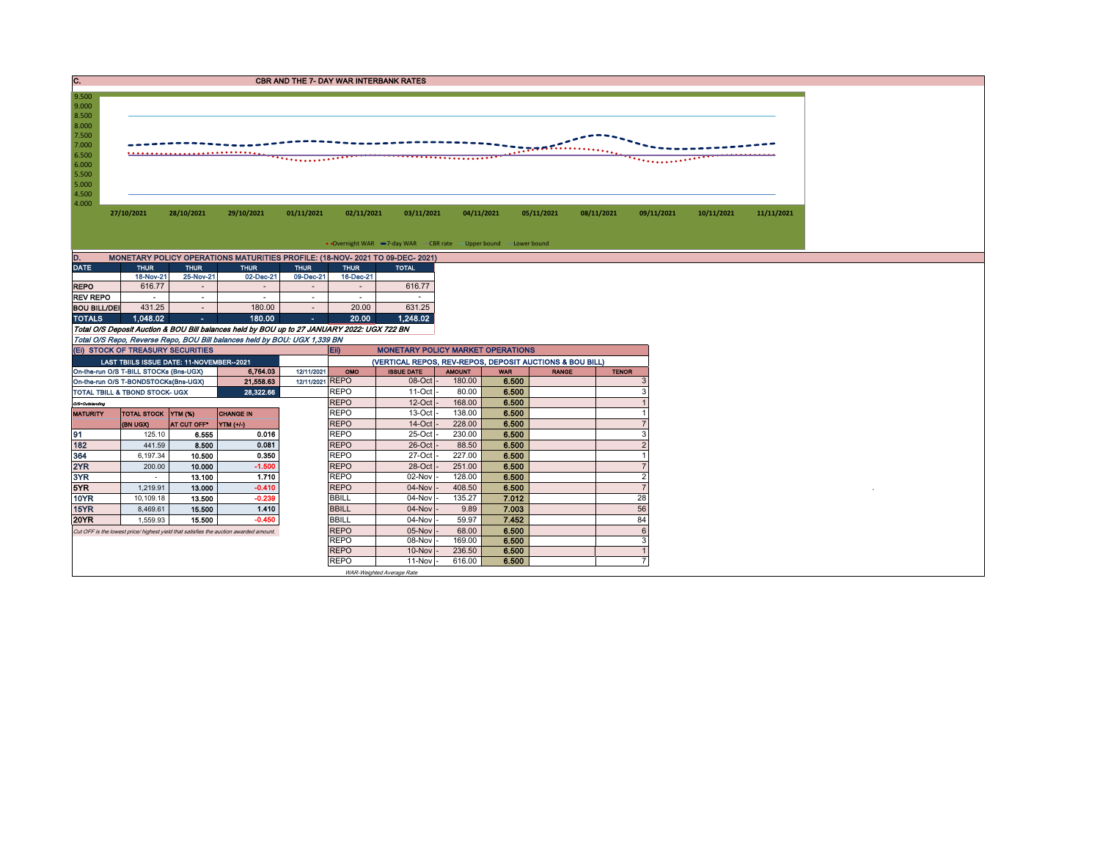C. CREASE CONTROL CONTROL CONTROL CONTROL CONTROL CONTROL CONTROL CONTROL CONTROL CONTROL CONTROL CONTROL CONTROL CONTROL CONTROL CONTROL CONTROL CONTROL CONTROL CONTROL CONTROL CONTROL CONTROL CONTROL CONTROL CONTROL CONT



| MONETARY POLICY OPERATIONS MATURITIES PROFILE: (18-NOV- 2021 TO 09-DEC- 2021)<br>D. |             |             |             |                          |             |              |  |  |  |  |  |  |  |
|-------------------------------------------------------------------------------------|-------------|-------------|-------------|--------------------------|-------------|--------------|--|--|--|--|--|--|--|
| <b>DATE</b>                                                                         | <b>THUR</b> | <b>THUR</b> | <b>THUR</b> | <b>THUR</b>              | <b>THUR</b> | <b>TOTAL</b> |  |  |  |  |  |  |  |
|                                                                                     | 18-Nov-21   | 25-Nov-21   | 02-Dec-21   | 09-Dec-21                | 16-Dec-21   |              |  |  |  |  |  |  |  |
| <b>REPO</b>                                                                         | 616.77      |             |             | $\blacksquare$           |             | 616,77       |  |  |  |  |  |  |  |
| <b>REV REPO</b>                                                                     | ۰           | ۰           |             | ۰                        |             |              |  |  |  |  |  |  |  |
| <b>BOU BILL/DEI</b>                                                                 | 431.25      |             | 180.00      | $\overline{\phantom{a}}$ | 20.00       | 631.25       |  |  |  |  |  |  |  |
| <b>TOTALS</b>                                                                       | 1.048.02    | ٠           | 180.00      | ٠                        | 20.00       | 1,248.02     |  |  |  |  |  |  |  |

Total O/S Deposit Auction & BOU Bill balances held by BOU up to 27 JANUARY 2022: UGX 722 BN

Total O/S Repo, Reverse Repo, BOU Bill balances held by BOU: UGX 1,339 BN

|                                                                                       | (EI) STOCK OF TREASURY SECURITIES         |             |                  |  | E                                                        | <b>MONETARY POLICY MARKET OPERATIONS</b> |               |            |              |              |  |  |
|---------------------------------------------------------------------------------------|-------------------------------------------|-------------|------------------|--|----------------------------------------------------------|------------------------------------------|---------------|------------|--------------|--------------|--|--|
|                                                                                       | LAST TBIILS ISSUE DATE: 11-NOVEMBER--2021 |             |                  |  | (VERTICAL REPOS, REV-REPOS, DEPOSIT AUCTIONS & BOU BILL) |                                          |               |            |              |              |  |  |
| 6.764.03<br>On-the-run O/S T-BILL STOCKs (Bns-UGX)<br>12/11/2021                      |                                           |             |                  |  |                                                          | <b>ISSUE DATE</b>                        | <b>AMOUNT</b> | <b>WAR</b> | <b>RANGE</b> | <b>TENOR</b> |  |  |
| 12/11/2021 REPO<br>21,558.63<br>On-the-run O/S T-BONDSTOCKs(Bns-UGX)                  |                                           |             |                  |  |                                                          | $08$ -Oct $-$                            | 180.00        | 6.500      |              |              |  |  |
| <b>REPO</b><br>28,322.66<br><b>TOTAL TBILL &amp; TBOND STOCK- UGX</b>                 |                                           |             |                  |  |                                                          | $11$ -Oct $-$                            | 80.00         | 6.500      |              |              |  |  |
| O/S=Outstanding                                                                       |                                           |             |                  |  | <b>REPO</b>                                              | $12$ -Oct $-$                            | 168.00        | 6.500      |              |              |  |  |
| <b>MATURITY</b>                                                                       | TOTAL STOCK YTM (%)                       |             | <b>CHANGE IN</b> |  | <b>REPO</b>                                              | $13-Oct$ -                               | 138.00        | 6.500      |              |              |  |  |
|                                                                                       | (BN UGX)                                  | AT CUT OFF* | YTM (+/-)        |  | <b>REPO</b>                                              | $14$ -Oct $-$                            | 228.00        | 6.500      |              |              |  |  |
| 191                                                                                   | 125.10                                    | 6.555       | 0.016            |  | <b>REPO</b>                                              | 25-Oct -                                 | 230.00        | 6.500      |              |              |  |  |
| 182                                                                                   | 441.59                                    | 8.500       | 0.081            |  | <b>REPO</b>                                              | $26$ -Oct $-$                            | 88.50         | 6.500      |              |              |  |  |
| 364                                                                                   | 6,197.34                                  | 10.500      | 0.350            |  | <b>REPO</b>                                              | 27-Oct -                                 | 227.00        | 6.500      |              |              |  |  |
| 2YR                                                                                   | 200.00                                    | 10.000      | $-1.500$         |  | <b>REPO</b>                                              | $28$ -Oct $-$                            | 251.00        | 6.500      |              |              |  |  |
| 3YR                                                                                   |                                           | 13.100      | 1.710            |  | <b>REPO</b>                                              | 02-Nov -                                 | 128.00        | 6.500      |              |              |  |  |
| 5YR                                                                                   | 1,219.91                                  | 13.000      | $-0.410$         |  | <b>REPO</b>                                              | $04$ -Nov $ -$                           | 408.50        | 6.500      |              |              |  |  |
| <b>10YR</b>                                                                           | 10.109.18                                 | 13.500      | $-0.239$         |  | <b>BBILL</b>                                             | $04$ -Nov $-$                            | 135.27        | 7.012      |              | 28           |  |  |
| <b>15YR</b>                                                                           | 8,469.61                                  | 15.500      | 1.410            |  | <b>BBILL</b>                                             | $04$ -Nov $ -$                           | 9.89          | 7.003      |              | 56           |  |  |
| <b>20YR</b>                                                                           | $-0.450$<br>15.500<br>1.559.93            |             |                  |  | <b>BBILL</b>                                             | $04$ -Nov $-$                            | 59.97         | 7.452      |              | 84           |  |  |
| Cut OFF is the lowest price/ highest yield that satisfies the auction awarded amount. |                                           |             |                  |  | <b>REPO</b>                                              | $05$ -Nov $\vert$ -                      | 68.00         | 6.500      |              |              |  |  |
|                                                                                       |                                           |             |                  |  | <b>REPO</b>                                              | 08-Nov -                                 | 169.00        | 6.500      |              |              |  |  |
|                                                                                       |                                           |             |                  |  | <b>REPO</b>                                              | $10$ -Nov $\vert$ -                      | 236.50        | 6.500      |              |              |  |  |
|                                                                                       |                                           |             |                  |  | <b>REPO</b>                                              | $11-Nov$ -                               | 616.00        | 6.500      |              |              |  |  |
|                                                                                       |                                           |             |                  |  |                                                          | WAR-Weighted Average Rate                |               |            |              |              |  |  |